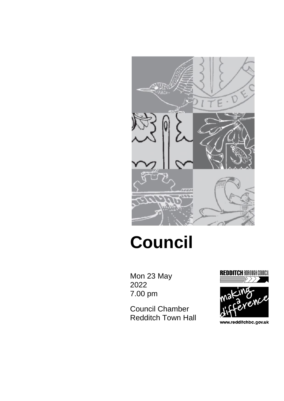

# **Council**

Mon 23 May 2022 7.00 pm

Council Chamber Redditch Town Hall





www.redditchbc.gov.uk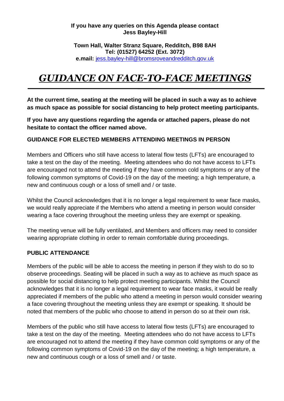#### **If you have any queries on this Agenda please contact Jess Bayley-Hill**

#### **Town Hall, Walter Stranz Square, Redditch, B98 8AH Tel: (01527) 64252 (Ext. 3072) e.mail:** [jess.bayley-hill@bromsroveandredditch.gov.uk](mailto:jess.bayley-hill@bromsroveandredditch.gov.uk)

## *GUIDANCE ON FACE-TO-FACE MEETINGS*

**At the current time, seating at the meeting will be placed in such a way as to achieve as much space as possible for social distancing to help protect meeting participants.**

**If you have any questions regarding the agenda or attached papers, please do not hesitate to contact the officer named above.**

#### **GUIDANCE FOR ELECTED MEMBERS ATTENDING MEETINGS IN PERSON**

Members and Officers who still have access to lateral flow tests (LFTs) are encouraged to take a test on the day of the meeting. Meeting attendees who do not have access to LFTs are encouraged not to attend the meeting if they have common cold symptoms or any of the following common symptoms of Covid-19 on the day of the meeting; a high temperature, a new and continuous cough or a loss of smell and / or taste.

Whilst the Council acknowledges that it is no longer a legal requirement to wear face masks, we would really appreciate if the Members who attend a meeting in person would consider wearing a face covering throughout the meeting unless they are exempt or speaking.

The meeting venue will be fully ventilated, and Members and officers may need to consider wearing appropriate clothing in order to remain comfortable during proceedings.

#### **PUBLIC ATTENDANCE**

Members of the public will be able to access the meeting in person if they wish to do so to observe proceedings. Seating will be placed in such a way as to achieve as much space as possible for social distancing to help protect meeting participants. Whilst the Council acknowledges that it is no longer a legal requirement to wear face masks, it would be really appreciated if members of the public who attend a meeting in person would consider wearing a face covering throughout the meeting unless they are exempt or speaking. It should be noted that members of the public who choose to attend in person do so at their own risk.

Members of the public who still have access to lateral flow tests (LFTs) are encouraged to take a test on the day of the meeting. Meeting attendees who do not have access to LFTs are encouraged not to attend the meeting if they have common cold symptoms or any of the following common symptoms of Covid-19 on the day of the meeting; a high temperature, a new and continuous cough or a loss of smell and / or taste.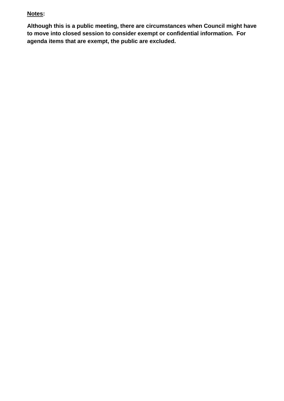#### **Notes:**

**Although this is a public meeting, there are circumstances when Council might have to move into closed session to consider exempt or confidential information. For agenda items that are exempt, the public are excluded.**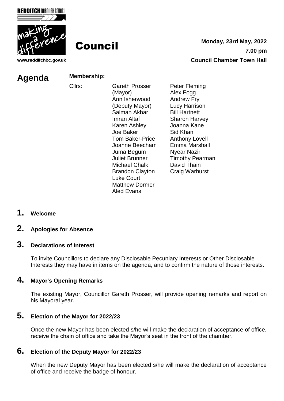



www.redditchbc.gov.uk

**Council** Monday, 23rd May, 2022 **7.00 pm Council Chamber Town Hall**

#### **Agenda Membership:**

- Cllrs: Gareth Prosser (Mayor) Ann Isherwood (Deputy Mayor) Salman Akbar Imran Altaf Karen Ashley Joe Baker Tom Baker-Price Joanne Beecham Juma Begum Juliet Brunner Michael Chalk Brandon Clayton Luke Court Matthew Dormer Aled Evans
- Peter Fleming Alex Fogg Andrew Fry Lucy Harrison Bill Hartnett Sharon Harvey Joanna Kane Sid Khan Anthony Lovell Emma Marshall Nyear Nazir Timothy Pearman David Thain Craig Warhurst

**1. Welcome** 

#### **2. Apologies for Absence**

#### **3. Declarations of Interest**

To invite Councillors to declare any Disclosable Pecuniary Interests or Other Disclosable Interests they may have in items on the agenda, and to confirm the nature of those interests.

#### **4. Mayor's Opening Remarks**

The existing Mayor, Councillor Gareth Prosser, will provide opening remarks and report on his Mayoral year.

#### **5. Election of the Mayor for 2022/23**

Once the new Mayor has been elected s/he will make the declaration of acceptance of office, receive the chain of office and take the Mayor's seat in the front of the chamber.

### **6. Election of the Deputy Mayor for 2022/23**

When the new Deputy Mayor has been elected s/he will make the declaration of acceptance of office and receive the badge of honour.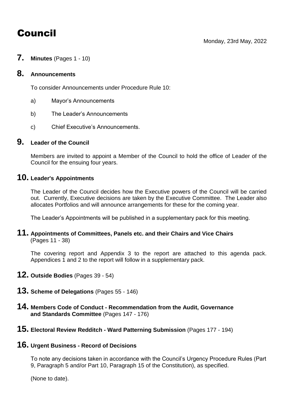# Council

**7. Minutes** (Pages <sup>1</sup> - 10)

#### **8. Announcements**

To consider Announcements under Procedure Rule 10:

- a) Mayor's Announcements
- b) The Leader's Announcements
- c) Chief Executive's Announcements.

#### **9. Leader of the Council**

Members are invited to appoint a Member of the Council to hold the office of Leader of the Council for the ensuing four years.

#### **10. Leader's Appointments**

The Leader of the Council decides how the Executive powers of the Council will be carried out. Currently, Executive decisions are taken by the Executive Committee. The Leader also allocates Portfolios and will announce arrangements for these for the coming year.

The Leader's Appointments will be published in a supplementary pack for this meeting.

#### **11. Appointments of Committees, Panels etc. and their Chairs and Vice Chairs** (Pages 11 - 38)

The covering report and Appendix 3 to the report are attached to this agenda pack. Appendices 1 and 2 to the report will follow in a supplementary pack.

- **12. Outside Bodies** (Pages <sup>39</sup> 54)
- **13. Scheme of Delegations** (Pages <sup>55</sup> 146)
- **14. Members Code of Conduct - Recommendation from the Audit, Governance and Standards Committee** (Pages 147 - 176)
- **15. Electoral Review Redditch - Ward Patterning Submission** (Pages <sup>177</sup> 194)

#### **16. Urgent Business - Record of Decisions**

To note any decisions taken in accordance with the Council's Urgency Procedure Rules (Part 9, Paragraph 5 and/or Part 10, Paragraph 15 of the Constitution), as specified.

(None to date).